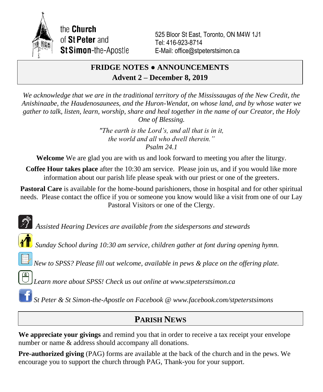

the **Church** of St Peter and **St Simon-the-Apostle** 

525 Bloor St East, Toronto, ON M4W 1J1 Tel: 416-923-8714 E-Mail: office@stpeterstsimon.ca

## **FRIDGE NOTES ● ANNOUNCEMENTS Advent 2 – December 8, 2019**

*We acknowledge that we are in the traditional territory of the Mississaugas of the New Credit, the Anishinaabe, the Haudenosaunees, and the Huron-Wendat, on whose land, and by whose water we gather to talk, listen, learn, worship, share and heal together in the name of our Creator, the Holy One of Blessing.*

> *"The earth is the Lord's, and all that is in it, the world and all who dwell therein." Psalm 24.1*

**Welcome** We are glad you are with us and look forward to meeting you after the liturgy.

**Coffee Hour takes place** after the 10:30 am service. Please join us, and if you would like more information about our parish life please speak with our priest or one of the greeters.

**Pastoral Care** is available for the home-bound parishioners, those in hospital and for other spiritual needs. Please contact the office if you or someone you know would like a visit from one of our Lay Pastoral Visitors or one of the Clergy.

*Assisted Hearing Devices are available from the sidespersons and stewards*

*Sunday School during 10:30 am service, children gather at font during opening hymn.*

*New to SPSS? Please fill out welcome, available in pews & place on the offering plate.*

*Learn more about SPSS! Check us out online at www.stpeterstsimon.ca*

*St Peter & St Simon-the-Apostle on Facebook @ www.facebook.com/stpeterstsimons*

# **PARISH NEWS**

**We appreciate your givings** and remind you that in order to receive a tax receipt your envelope number or name & address should accompany all donations.

**Pre-authorized giving** (PAG) forms are available at the back of the church and in the pews. We encourage you to support the church through PAG, Thank-you for your support.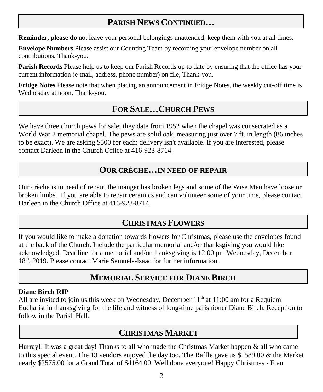# **PARISH NEWS CONTINUED…**

**Reminder, please do** not leave your personal belongings unattended; keep them with you at all times.

**Envelope Numbers** Please assist our Counting Team by recording your envelope number on all contributions, Thank-you.

**Parish Records** Please help us to keep our Parish Records up to date by ensuring that the office has your current information (e-mail, address, phone number) on file, Thank-you.

**Fridge Notes** Please note that when placing an announcement in Fridge Notes, the weekly cut-off time is Wednesday at noon, Thank-you.

## **FOR SALE…CHURCH PEWS**

We have three church pews for sale; they date from 1952 when the chapel was consecrated as a World War 2 memorial chapel. The pews are solid oak, measuring just over 7 ft. in length (86 inches to be exact). We are asking \$500 for each; delivery isn't available. If you are interested, please contact Darleen in the Church Office at 416-923-8714.

## **OUR CRÈCHE…IN NEED OF REPAIR**

Our crèche is in need of repair, the manger has broken legs and some of the Wise Men have loose or broken limbs. If you are able to repair ceramics and can volunteer some of your time, please contact Darleen in the Church Office at 416-923-8714.

# **CHRISTMAS FLOWERS**

If you would like to make a donation towards flowers for Christmas, please use the envelopes found at the back of the Church. Include the particular memorial and/or thanksgiving you would like acknowledged. Deadline for a memorial and/or thanksgiving is 12:00 pm Wednesday, December 18<sup>th</sup>, 2019. Please contact Marie Samuels-Isaac for further information.

# **MEMORIAL SERVICE FOR DIANE BIRCH**

### **Diane Birch RIP**

All are invited to join us this week on Wednesday, December  $11<sup>th</sup>$  at 11:00 am for a Requiem Eucharist in thanksgiving for the life and witness of long-time parishioner Diane Birch. Reception to follow in the Parish Hall.

# **CHRISTMAS MARKET**

Hurray!! It was a great day! Thanks to all who made the Christmas Market happen & all who came to this special event. The 13 vendors enjoyed the day too. The Raffle gave us \$1589.00 & the Market nearly \$2575.00 for a Grand Total of \$4164.00. Well done everyone! Happy Christmas - Fran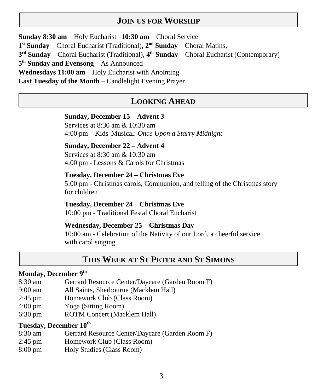## **JOIN US FOR WORSHIP**

**Sunday 8:30 am** – Holy Eucharist **10:30 am** – Choral Service 1<sup>st</sup> Sunday – Choral Eucharist (Traditional), 2<sup>nd</sup> Sunday – Choral Matins, **3 rd Sunday** – Choral Eucharist (Traditional), **4 th Sunday** – Choral Eucharist (Contemporary) **5 th Sunday and Evensong** – As Announced **Wednesdays 11:00 am –** Holy Eucharist with Anointing **Last Tuesday of the Month** – Candlelight Evening Prayer

### **LOOKING AHEAD**

#### **Sunday, December 15 – Advent 3**

Services at 8:30 am & 10:30 am 4:00 pm – Kids' Musical: *Once Upon a Starry Midnight*

#### **Sunday, December 22 – Advent 4**

Services at 8:30 am & 10:30 am 4:00 pm - Lessons & Carols for Christmas

#### **Tuesday, December 24 – Christmas Eve**

5:00 pm - Christmas carols, Communion, and telling of the Christmas story for children

**Tuesday, December 24 – Christmas Eve** 10:00 pm - Traditional Festal Choral Eucharist

#### **Wednesday, December 25 – Christmas Day**

10:00 am - Celebration of the Nativity of our Lord, a cheerful service with carol singing

## **THIS WEEK AT ST PETER AND ST SIMONS**

## **Monday, December 9th**

- 8:30 am Gerrard Resource Center/Daycare (Garden Room F)
- 9:00 am All Saints, Sherbourne (Macklem Hall)
- 2:45 pm Homework Club (Class Room)
- 4:00 pm Yoga (Sitting Room)
- 6:30 pm ROTM Concert (Macklem Hall)

### **Tuesday, December 10th**

- 8:30 am Gerrard Resource Center/Daycare (Garden Room F)
- 2:45 pm Homework Club (Class Room)
- 8:00 pm Holy Studies (Class Room)